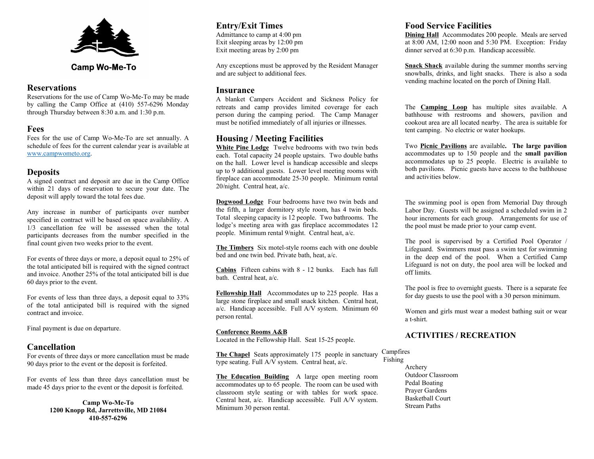

# **Camp Wo-Me-To**

#### **Reservations**

Reservations for the use of Camp Wo-Me-To may be made by calling the Camp Office at (410) 557-6296 Monday through Thursday between 8:30 a.m. and 1:30 p.m.

### Fees

Fees for the use of Camp Wo-Me-To are set annually. A schedule of fees for the current calendar year is available at www.campwometo.org.

#### **Deposits**

A signed contract and deposit are due in the Camp Office within 21 days of reservation to secure your date. The deposit will apply toward the total fees due.

Any increase in number of participants over number specified in contract will be based on space availability. A 1/3 cancellation fee will be assessed when the total participants decreases from the number specified in the final count given two weeks prior to the event.

For events of three days or more, a deposit equal to 25% of the total anticipated bill is required with the signed contract and invoice. Another 25% of the total anticipated bill is due 60 days prior to the event.

For events of less than three days, a deposit equal to 33% of the total anticipated bill is required with the signed contract and invoice.

Final payment is due on departure.

#### **Cancellation**

For events of three days or more cancellation must be made 90 days prior to the event or the deposit is forfeited.

For events of less than three days cancellation must be made 45 days prior to the event or the deposit is forfeited.

> Camp Wo-Me-To 1200 Knopp Rd, Jarrettsville, MD 21084 410-557-6296

# Entry/Exit Times

Admittance to camp at 4:00 pm Exit sleeping areas by 12:00 pm Exit meeting areas by 2:00 pm

Any exceptions must be approved by the Resident Manager and are subject to additional fees.

#### Insurance

A blanket Campers Accident and Sickness Policy for retreats and camp provides limited coverage for each person during the camping period. The Camp Manager must be notified immediately of all injuries or illnesses.

### Housing / Meeting Facilities

White Pine Lodge Twelve bedrooms with two twin beds each. Total capacity 24 people upstairs. Two double baths on the hall. Lower level is handicap accessible and sleeps up to 9 additional guests. Lower level meeting rooms with fireplace can accommodate 25-30 people. Minimum rental 20/night. Central heat, a/c.

Dogwood Lodge Four bedrooms have two twin beds and the fifth, a larger dormitory style room, has 4 twin beds. Total sleeping capacity is 12 people. Two bathrooms. The lodge's meeting area with gas fireplace accommodates 12 people. Minimum rental 9/night. Central heat, a/c.

The Timbers Six motel-style rooms each with one double bed and one twin bed. Private bath, heat, a/c.

Cabins Fifteen cabins with 8 - 12 bunks. Each has full bath. Central heat, a/c.

Fellowship Hall Accommodates up to 225 people. Has a large stone fireplace and small snack kitchen. Central heat, a/c. Handicap accessible. Full A/V system. Minimum 60 person rental.

#### Conference Rooms A&B

Located in the Fellowship Hall. Seat 15-25 people.

The Chapel Seats approximately 175 people in sanctuary type seating. Full A/V system. Central heat, a/c.

The Education Building A large open meeting room accommodates up to 65 people. The room can be used with classroom style seating or with tables for work space. Central heat, a/c. Handicap accessible. Full A/V system. Minimum 30 person rental.

### Food Service Facilities

Dining Hall Accommodates 200 people. Meals are served at 8:00 AM, 12:00 noon and 5:30 PM. Exception: Friday dinner served at 6:30 p.m. Handicap accessible.

Snack Shack available during the summer months serving snowballs, drinks, and light snacks. There is also a soda vending machine located on the porch of Dining Hall.

The Camping Loop has multiple sites available. A bathhouse with restrooms and showers, pavilion and cookout area are all located nearby. The area is suitable for tent camping. No electric or water hookups.

Two Picnic Pavilions are available. The large pavilion accommodates up to 150 people and the small pavilion accommodates up to 25 people. Electric is available to both pavilions. Picnic guests have access to the bathhouse and activities below.

The swimming pool is open from Memorial Day through Labor Day. Guests will be assigned a scheduled swim in 2 hour increments for each group. Arrangements for use of the pool must be made prior to your camp event.

The pool is supervised by a Certified Pool Operator / Lifeguard. Swimmers must pass a swim test for swimming in the deep end of the pool. When a Certified Camp Lifeguard is not on duty, the pool area will be locked and off limits.

The pool is free to overnight guests. There is a separate fee for day guests to use the pool with a 30 person minimum.

Women and girls must wear a modest bathing suit or wear a t-shirt.

### ACTIVITIES / RECREATION

Campfires Fishing

> Archery Outdoor Classroom Pedal Boating Prayer Gardens Basketball Court Stream Paths